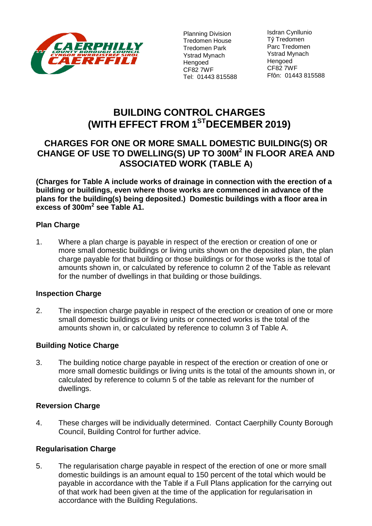

Planning Division Tredomen House Tredomen Park Ystrad Mynach Hengoed CF82 7WF Tel: 01443 815588

Isdran Cynllunio Tŷ Tredomen Parc Tredomen Ystrad Mynach Hengoed CF82 7WF Ffôn: 01443 815588

# **BUILDING CONTROL CHARGES (WITH EFFECT FROM 1 STDECEMBER 2019)**

## **CHARGES FOR ONE OR MORE SMALL DOMESTIC BUILDING(S) OR CHANGE OF USE TO DWELLING(S) UP TO 300M<sup>2</sup> IN FLOOR AREA AND ASSOCIATED WORK (TABLE A)**

**(Charges for Table A include works of drainage in connection with the erection of a building or buildings, even where those works are commenced in advance of the plans for the building(s) being deposited.) Domestic buildings with a floor area in excess of 300m<sup>2</sup> see Table A1.** 

## **Plan Charge**

1. Where a plan charge is payable in respect of the erection or creation of one or more small domestic buildings or living units shown on the deposited plan, the plan charge payable for that building or those buildings or for those works is the total of amounts shown in, or calculated by reference to column 2 of the Table as relevant for the number of dwellings in that building or those buildings.

## **Inspection Charge**

2. The inspection charge payable in respect of the erection or creation of one or more small domestic buildings or living units or connected works is the total of the amounts shown in, or calculated by reference to column 3 of Table A.

## **Building Notice Charge**

3. The building notice charge payable in respect of the erection or creation of one or more small domestic buildings or living units is the total of the amounts shown in, or calculated by reference to column 5 of the table as relevant for the number of dwellings.

## **Reversion Charge**

4. These charges will be individually determined. Contact Caerphilly County Borough Council, Building Control for further advice.

## **Regularisation Charge**

5. The regularisation charge payable in respect of the erection of one or more small domestic buildings is an amount equal to 150 percent of the total which would be payable in accordance with the Table if a Full Plans application for the carrying out of that work had been given at the time of the application for regularisation in accordance with the Building Regulations.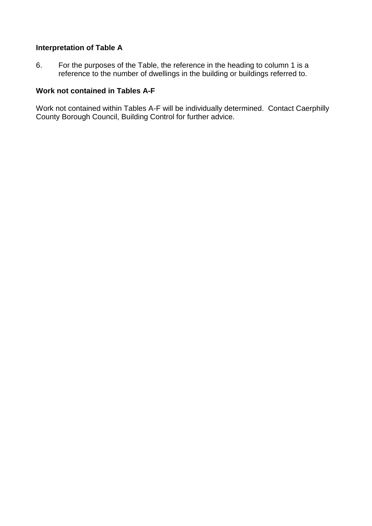### **Interpretation of Table A**

6. For the purposes of the Table, the reference in the heading to column 1 is a reference to the number of dwellings in the building or buildings referred to.

#### **Work not contained in Tables A-F**

Work not contained within Tables A-F will be individually determined. Contact Caerphilly County Borough Council, Building Control for further advice.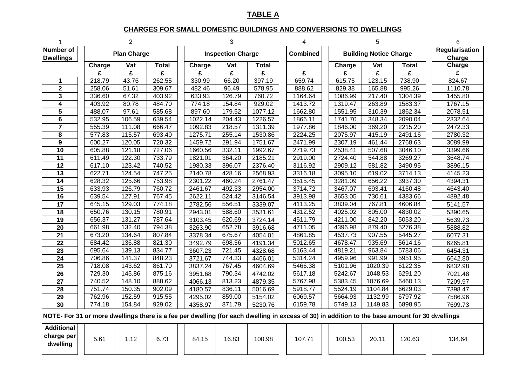## **TABLE A**

#### **CHARGES FOR SMALL DOMESTIC BUILDINGS AND CONVERSIONS TO DWELLINGS**

|                                                                                                                                                |                    | $\overline{2}$ |              | 3 |                          |        |              |  | 4               |  |                               | 5       | 6            |                                 |
|------------------------------------------------------------------------------------------------------------------------------------------------|--------------------|----------------|--------------|---|--------------------------|--------|--------------|--|-----------------|--|-------------------------------|---------|--------------|---------------------------------|
| <b>Number of</b><br><b>Dwellings</b>                                                                                                           | <b>Plan Charge</b> |                |              |   | <b>Inspection Charge</b> |        |              |  | <b>Combined</b> |  | <b>Building Notice Charge</b> |         |              | <b>Regularisation</b><br>Charge |
|                                                                                                                                                | Charge             | Vat            | <b>Total</b> |   | Charge                   | Vat    | <b>Total</b> |  |                 |  | Charge                        | Vat     | <b>Total</b> | Charge                          |
|                                                                                                                                                | £                  | £              | £            |   | £                        | £      | £            |  | £               |  | £                             | £       | £            | £                               |
| 1                                                                                                                                              | 218.79             | 43.76          | 262.55       |   | 330.99                   | 66.20  | 397.19       |  | 659.74          |  | 615.75                        | 123.15  | 738.90       | 824.67                          |
| $\overline{2}$                                                                                                                                 | 258.06             | 51.61          | 309.67       |   | 482.46                   | 96.49  | 578.95       |  | 888.62          |  | 829.38                        | 165.88  | 995.26       | 1110.78                         |
| $\overline{\mathbf{3}}$                                                                                                                        | 336.60             | 67.32          | 403.92       |   | 633.93                   | 126.79 | 760.72       |  | 1164.64         |  | 1086.99                       | 217.40  | 1304.39      | 1455.80                         |
| 4                                                                                                                                              | 403.92             | 80.78          | 484.70       |   | 774.18                   | 154.84 | 929.02       |  | 1413.72         |  | 1319.47                       | 263.89  | 1583.37      | 1767.15                         |
| $\overline{5}$                                                                                                                                 | 488.07             | 97.61          | 585.68       |   | 897.60                   | 179.52 | 1077.12      |  | 1662.80         |  | 1551.95                       | 310.39  | 1862.34      | 2078.51                         |
| 6                                                                                                                                              | 532.95             | 106.59         | 639.54       |   | 1022.14                  | 204.43 | 1226.57      |  | 1866.11         |  | 1741.70                       | 348.34  | 2090.04      | 2332.64                         |
| $\overline{\mathbf{7}}$                                                                                                                        | 555.39             | 111.08         | 666.47       |   | 1092.83                  | 218.57 | 1311.39      |  | 1977.86         |  | 1846.00                       | 369.20  | 2215.20      | 2472.33                         |
| 8                                                                                                                                              | 577.83             | 115.57         | 693.40       |   | 1275.71                  | 255.14 | 1530.86      |  | 2224.25         |  | 2075.97                       | 415.19  | 2491.16      | 2780.32                         |
| $\overline{9}$                                                                                                                                 | 600.27             | 120.05         | 720.32       |   | 1459.72                  | 291.94 | 1751.67      |  | 2471.99         |  | 2307.19                       | 461.44  | 2768.63      | 3089.99                         |
| $\overline{10}$                                                                                                                                | 605.88             | 121.18         | 727.06       |   | 1660.56                  | 332.11 | 1992.67      |  | 2719.73         |  | 2538.41                       | 507.68  | 3046.10      | 3399.66                         |
| $\overline{11}$                                                                                                                                | 611.49             | 122.30         | 733.79       |   | 1821.01                  | 364.20 | 2185.21      |  | 2919.00         |  | 2724.40                       | 544.88  | 3269.27      | 3648.74                         |
| 12                                                                                                                                             | 617.10             | 123.42         | 740.52       |   | 1980.33                  | 396.07 | 2376.40      |  | 3116.92         |  | 2909.12                       | 581.82  | 3490.95      | 3896.15                         |
| 13                                                                                                                                             | 622.71             | 124.54         | 747.25       |   | 2140.78                  | 428.16 | 2568.93      |  | 3316.18         |  | 3095.10                       | 619.02  | 3714.13      | 4145.23                         |
| $\overline{14}$                                                                                                                                | 628.32             | 125.66         | 753.98       |   | 2301.22                  | 460.24 | 2761.47      |  | 3515.45         |  | 3281.09                       | 656.22  | 3937.30      | 4394.31                         |
| $\overline{15}$                                                                                                                                | 633.93             | 126.79         | 760.72       |   | 2461.67                  | 492.33 | 2954.00      |  | 3714.72         |  | 3467.07                       | 693.41  | 4160.48      | 4643.40                         |
| $\overline{16}$                                                                                                                                | 639.54             | 127.91         | 767.45       |   | 2622.11                  | 524.42 | 3146.54      |  | 3913.98         |  | 3653.05                       | 730.61  | 4383.66      | 4892.48                         |
| 17                                                                                                                                             | 645.15             | 129.03         | 774.18       |   | 2782.56                  | 556.51 | 3339.07      |  | 4113.25         |  | 3839.04                       | 767.81  | 4606.84      | 5141.57                         |
| $\overline{18}$                                                                                                                                | 650.76             | 130.15         | 780.91       |   | 2943.01                  | 588.60 | 3531.61      |  | 4312.52         |  | 4025.02                       | 805.00  | 4830.02      | 5390.65                         |
| $\overline{19}$                                                                                                                                | 656.37             | 131.27         | 787.64       |   | 3103.45                  | 620.69 | 3724.14      |  | 4511.79         |  | 4211.00                       | 842.20  | 5053.20      | 5639.73                         |
| $\overline{20}$                                                                                                                                | 661.98             | 132.40         | 794.38       |   | 3263.90                  | 652.78 | 3916.68      |  | 4711.05         |  | 4396.98                       | 879.40  | 5276.38      | 5888.82                         |
| 21                                                                                                                                             | 673.20             | 134.64         | 807.84       |   | 3378.34                  | 675.67 | 4054.01      |  | 4861.85         |  | 4537.73                       | 907.55  | 5445.27      | 6077.31                         |
| $\overline{22}$                                                                                                                                | 684.42             | 136.88         | 821.30       |   | 3492.79                  | 698.56 | 4191.34      |  | 5012.65         |  | 4678.47                       | 935.69  | 5614.16      | 6265.81                         |
| $\overline{23}$                                                                                                                                | 695.64             | 139.13         | 834.77       |   | 3607.23                  | 721.45 | 4328.68      |  | 5163.44         |  | 4819.21                       | 963.84  | 5783.06      | 6454.31                         |
| $\overline{24}$                                                                                                                                | 706.86             | 141.37         | 848.23       |   | 3721.67                  | 744.33 | 4466.01      |  | 5314.24         |  | 4959.96                       | 991.99  | 5951.95      | 6642.80                         |
| $\overline{25}$                                                                                                                                | 718.08             | 143.62         | 861.70       |   | 3837.24                  | 767.45 | 4604.69      |  | 5466.38         |  | 5101.96                       | 1020.39 | 6122.35      | 6832.98                         |
| 26                                                                                                                                             | 729.30             | 145.86         | 875.16       |   | 3951.68                  | 790.34 | 4742.02      |  | 5617.18         |  | 5242.67                       | 1048.53 | 6291.20      | 7021.48                         |
| $\overline{27}$                                                                                                                                | 740.52             | 148.10         | 888.62       |   | 4066.13                  | 813.23 | 4879.35      |  | 5767.98         |  | 5383.45                       | 1076.69 | 6460.13      | 7209.97                         |
| 28                                                                                                                                             | 751.74             | 150.35         | 902.09       |   | 4180.57                  | 836.11 | 5016.69      |  | 5918.77         |  | 5524.19                       | 1104.84 | 6629.03      | 7398.47                         |
| $\overline{29}$                                                                                                                                | 762.96             | 152.59         | 915.55       |   | 4295.02                  | 859.00 | 5154.02      |  | 6069.57         |  | 5664.93                       | 1132.99 | 6797.92      | 7586.96                         |
| 30                                                                                                                                             | 774.18             | 154.84         | 929.02       |   | 4358.97                  | 871.79 | 5230.76      |  | 6159.78         |  | 5749.13                       | 1149.83 | 6898.95      | 7699.73                         |
| NOTE- For 31 or more dwellings there is a fee per dwelling (for each dwelling in excess of 30) in addition to the base amount for 30 dwellings |                    |                |              |   |                          |        |              |  |                 |  |                               |         |              |                                 |
| <b>Additional</b><br>charge per<br>dwelling                                                                                                    | 5.61               | 1.12           | 6.73         |   | 84.15                    | 16.83  | 100.98       |  | 107.71          |  | 100.53                        | 20.11   | 120.63       | 134.64                          |